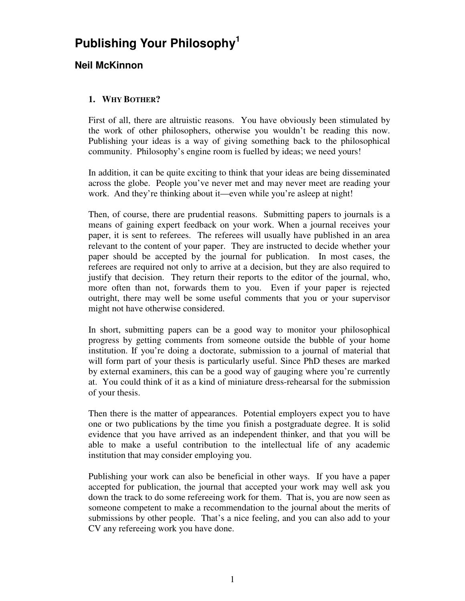# **Publishing Your Philosophy1**

# **Neil McKinnon**

# **1. WHY BOTHER?**

First of all, there are altruistic reasons. You have obviously been stimulated by the work of other philosophers, otherwise you wouldn't be reading this now. Publishing your ideas is a way of giving something back to the philosophical community. Philosophy's engine room is fuelled by ideas; we need yours!

In addition, it can be quite exciting to think that your ideas are being disseminated across the globe. People you've never met and may never meet are reading your work. And they're thinking about it—even while you're asleep at night!

Then, of course, there are prudential reasons. Submitting papers to journals is a means of gaining expert feedback on your work. When a journal receives your paper, it is sent to referees. The referees will usually have published in an area relevant to the content of your paper. They are instructed to decide whether your paper should be accepted by the journal for publication. In most cases, the referees are required not only to arrive at a decision, but they are also required to justify that decision. They return their reports to the editor of the journal, who, more often than not, forwards them to you. Even if your paper is rejected outright, there may well be some useful comments that you or your supervisor might not have otherwise considered.

In short, submitting papers can be a good way to monitor your philosophical progress by getting comments from someone outside the bubble of your home institution. If you're doing a doctorate, submission to a journal of material that will form part of your thesis is particularly useful. Since PhD theses are marked by external examiners, this can be a good way of gauging where you're currently at. You could think of it as a kind of miniature dress-rehearsal for the submission of your thesis.

Then there is the matter of appearances. Potential employers expect you to have one or two publications by the time you finish a postgraduate degree. It is solid evidence that you have arrived as an independent thinker, and that you will be able to make a useful contribution to the intellectual life of any academic institution that may consider employing you.

Publishing your work can also be beneficial in other ways. If you have a paper accepted for publication, the journal that accepted your work may well ask you down the track to do some refereeing work for them. That is, you are now seen as someone competent to make a recommendation to the journal about the merits of submissions by other people. That's a nice feeling, and you can also add to your CV any refereeing work you have done.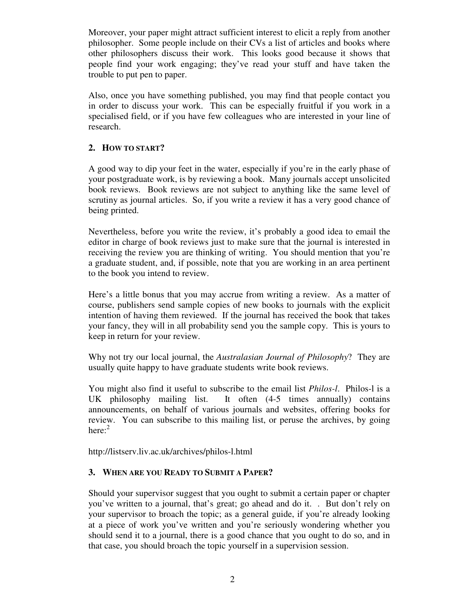Moreover, your paper might attract sufficient interest to elicit a reply from another philosopher. Some people include on their CVs a list of articles and books where other philosophers discuss their work. This looks good because it shows that people find your work engaging; they've read your stuff and have taken the trouble to put pen to paper.

Also, once you have something published, you may find that people contact you in order to discuss your work. This can be especially fruitful if you work in a specialised field, or if you have few colleagues who are interested in your line of research.

## **2. HOW TO START?**

A good way to dip your feet in the water, especially if you're in the early phase of your postgraduate work, is by reviewing a book. Many journals accept unsolicited book reviews. Book reviews are not subject to anything like the same level of scrutiny as journal articles. So, if you write a review it has a very good chance of being printed.

Nevertheless, before you write the review, it's probably a good idea to email the editor in charge of book reviews just to make sure that the journal is interested in receiving the review you are thinking of writing. You should mention that you're a graduate student, and, if possible, note that you are working in an area pertinent to the book you intend to review.

Here's a little bonus that you may accrue from writing a review. As a matter of course, publishers send sample copies of new books to journals with the explicit intention of having them reviewed. If the journal has received the book that takes your fancy, they will in all probability send you the sample copy. This is yours to keep in return for your review.

Why not try our local journal, the *Australasian Journal of Philosophy*? They are usually quite happy to have graduate students write book reviews.

You might also find it useful to subscribe to the email list *Philos-l*. Philos-l is a UK philosophy mailing list. It often (4-5 times annually) contains announcements, on behalf of various journals and websites, offering books for review. You can subscribe to this mailing list, or peruse the archives, by going here: $2$ 

http://listserv.liv.ac.uk/archives/philos-l.html

# **3. WHEN ARE YOU READY TO SUBMIT A PAPER?**

Should your supervisor suggest that you ought to submit a certain paper or chapter you've written to a journal, that's great; go ahead and do it. . But don't rely on your supervisor to broach the topic; as a general guide, if you're already looking at a piece of work you've written and you're seriously wondering whether you should send it to a journal, there is a good chance that you ought to do so, and in that case, you should broach the topic yourself in a supervision session.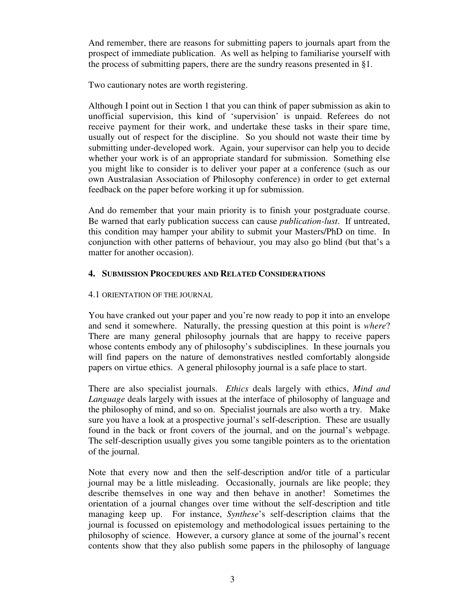And remember, there are reasons for submitting papers to journals apart from the prospect of immediate publication. As well as helping to familiarise yourself with the process of submitting papers, there are the sundry reasons presented in §1.

Two cautionary notes are worth registering.

Although I point out in Section 1 that you can think of paper submission as akin to unofficial supervision, this kind of 'supervision' is unpaid. Referees do not receive payment for their work, and undertake these tasks in their spare time, usually out of respect for the discipline. So you should not waste their time by submitting under-developed work. Again, your supervisor can help you to decide whether your work is of an appropriate standard for submission. Something else you might like to consider is to deliver your paper at a conference (such as our own Australasian Association of Philosophy conference) in order to get external feedback on the paper before working it up for submission.

And do remember that your main priority is to finish your postgraduate course. Be warned that early publication success can cause *publication-lust*. If untreated, this condition may hamper your ability to submit your Masters/PhD on time. In conjunction with other patterns of behaviour, you may also go blind (but that's a matter for another occasion).

## **4. SUBMISSION PROCEDURES AND RELATED CONSIDERATIONS**

## 4.1 ORIENTATION OF THE JOURNAL

You have cranked out your paper and you're now ready to pop it into an envelope and send it somewhere. Naturally, the pressing question at this point is *where*? There are many general philosophy journals that are happy to receive papers whose contents embody any of philosophy's subdisciplines. In these journals you will find papers on the nature of demonstratives nestled comfortably alongside papers on virtue ethics. A general philosophy journal is a safe place to start.

There are also specialist journals. *Ethics* deals largely with ethics, *Mind and Language* deals largely with issues at the interface of philosophy of language and the philosophy of mind, and so on. Specialist journals are also worth a try. Make sure you have a look at a prospective journal's self-description. These are usually found in the back or front covers of the journal, and on the journal's webpage. The self-description usually gives you some tangible pointers as to the orientation of the journal.

Note that every now and then the self-description and/or title of a particular journal may be a little misleading. Occasionally, journals are like people; they describe themselves in one way and then behave in another! Sometimes the orientation of a journal changes over time without the self-description and title managing keep up. For instance, *Synthese*'s self-description claims that the journal is focussed on epistemology and methodological issues pertaining to the philosophy of science. However, a cursory glance at some of the journal's recent contents show that they also publish some papers in the philosophy of language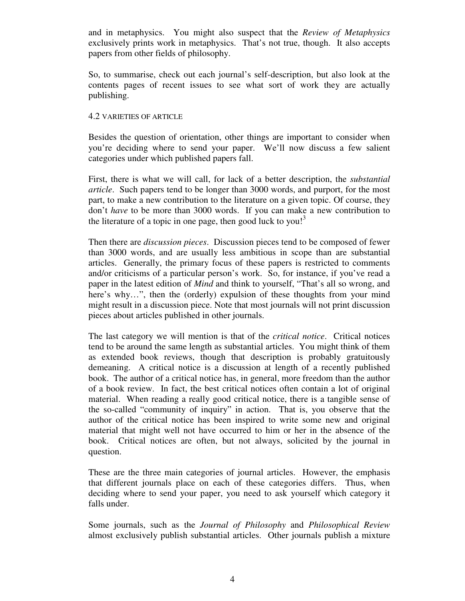and in metaphysics. You might also suspect that the *Review of Metaphysics* exclusively prints work in metaphysics. That's not true, though. It also accepts papers from other fields of philosophy.

So, to summarise, check out each journal's self-description, but also look at the contents pages of recent issues to see what sort of work they are actually publishing.

#### 4.2 VARIETIES OF ARTICLE

Besides the question of orientation, other things are important to consider when you're deciding where to send your paper. We'll now discuss a few salient categories under which published papers fall.

First, there is what we will call, for lack of a better description, the *substantial article*. Such papers tend to be longer than 3000 words, and purport, for the most part, to make a new contribution to the literature on a given topic. Of course, they don't *have* to be more than 3000 words. If you can make a new contribution to the literature of a topic in one page, then good luck to you!<sup>3</sup>

Then there are *discussion pieces*. Discussion pieces tend to be composed of fewer than 3000 words, and are usually less ambitious in scope than are substantial articles. Generally, the primary focus of these papers is restricted to comments and/or criticisms of a particular person's work. So, for instance, if you've read a paper in the latest edition of *Mind* and think to yourself, "That's all so wrong, and here's why...", then the (orderly) expulsion of these thoughts from your mind might result in a discussion piece. Note that most journals will not print discussion pieces about articles published in other journals.

The last category we will mention is that of the *critical notice*. Critical notices tend to be around the same length as substantial articles. You might think of them as extended book reviews, though that description is probably gratuitously demeaning. A critical notice is a discussion at length of a recently published book. The author of a critical notice has, in general, more freedom than the author of a book review. In fact, the best critical notices often contain a lot of original material. When reading a really good critical notice, there is a tangible sense of the so-called "community of inquiry" in action. That is, you observe that the author of the critical notice has been inspired to write some new and original material that might well not have occurred to him or her in the absence of the book. Critical notices are often, but not always, solicited by the journal in question.

These are the three main categories of journal articles. However, the emphasis that different journals place on each of these categories differs. Thus, when deciding where to send your paper, you need to ask yourself which category it falls under.

Some journals, such as the *Journal of Philosophy* and *Philosophical Review* almost exclusively publish substantial articles. Other journals publish a mixture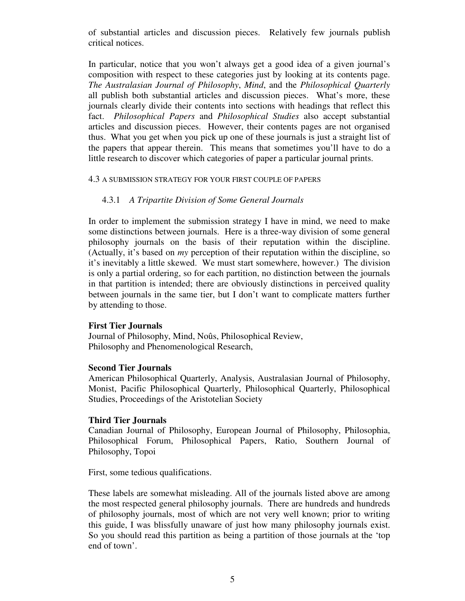of substantial articles and discussion pieces. Relatively few journals publish critical notices.

In particular, notice that you won't always get a good idea of a given journal's composition with respect to these categories just by looking at its contents page. *The Australasian Journal of Philosophy*, *Mind*, and the *Philosophical Quarterly* all publish both substantial articles and discussion pieces. What's more, these journals clearly divide their contents into sections with headings that reflect this fact. *Philosophical Papers* and *Philosophical Studies* also accept substantial articles and discussion pieces. However, their contents pages are not organised thus. What you get when you pick up one of these journals is just a straight list of the papers that appear therein. This means that sometimes you'll have to do a little research to discover which categories of paper a particular journal prints.

#### 4.3 A SUBMISSION STRATEGY FOR YOUR FIRST COUPLE OF PAPERS

## 4.3.1 *A Tripartite Division of Some General Journals*

In order to implement the submission strategy I have in mind, we need to make some distinctions between journals. Here is a three-way division of some general philosophy journals on the basis of their reputation within the discipline. (Actually, it's based on *my* perception of their reputation within the discipline, so it's inevitably a little skewed. We must start somewhere, however.) The division is only a partial ordering, so for each partition, no distinction between the journals in that partition is intended; there are obviously distinctions in perceived quality between journals in the same tier, but I don't want to complicate matters further by attending to those.

#### **First Tier Journals**

Journal of Philosophy, Mind, Noûs, Philosophical Review, Philosophy and Phenomenological Research,

#### **Second Tier Journals**

American Philosophical Quarterly, Analysis, Australasian Journal of Philosophy, Monist, Pacific Philosophical Quarterly, Philosophical Quarterly, Philosophical Studies, Proceedings of the Aristotelian Society

#### **Third Tier Journals**

Canadian Journal of Philosophy, European Journal of Philosophy, Philosophia, Philosophical Forum, Philosophical Papers, Ratio, Southern Journal of Philosophy, Topoi

First, some tedious qualifications.

These labels are somewhat misleading. All of the journals listed above are among the most respected general philosophy journals. There are hundreds and hundreds of philosophy journals, most of which are not very well known; prior to writing this guide, I was blissfully unaware of just how many philosophy journals exist. So you should read this partition as being a partition of those journals at the 'top end of town'.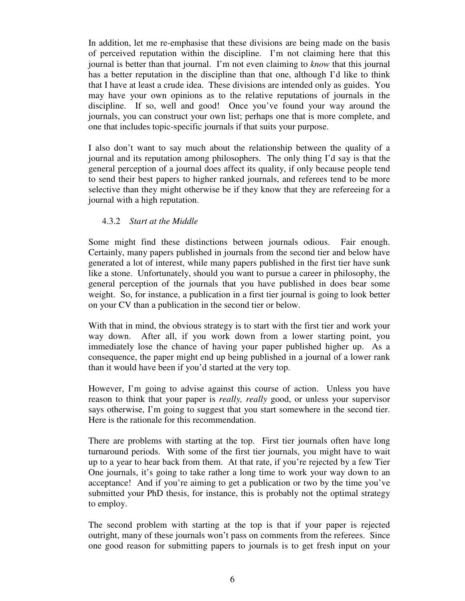In addition, let me re-emphasise that these divisions are being made on the basis of perceived reputation within the discipline. I'm not claiming here that this journal is better than that journal. I'm not even claiming to *know* that this journal has a better reputation in the discipline than that one, although I'd like to think that I have at least a crude idea. These divisions are intended only as guides. You may have your own opinions as to the relative reputations of journals in the discipline. If so, well and good! Once you've found your way around the journals, you can construct your own list; perhaps one that is more complete, and one that includes topic-specific journals if that suits your purpose.

I also don't want to say much about the relationship between the quality of a journal and its reputation among philosophers. The only thing I'd say is that the general perception of a journal does affect its quality, if only because people tend to send their best papers to higher ranked journals, and referees tend to be more selective than they might otherwise be if they know that they are refereeing for a journal with a high reputation.

## 4.3.2 *Start at the Middle*

Some might find these distinctions between journals odious. Fair enough. Certainly, many papers published in journals from the second tier and below have generated a lot of interest, while many papers published in the first tier have sunk like a stone. Unfortunately, should you want to pursue a career in philosophy, the general perception of the journals that you have published in does bear some weight. So, for instance, a publication in a first tier journal is going to look better on your CV than a publication in the second tier or below.

With that in mind, the obvious strategy is to start with the first tier and work your way down. After all, if you work down from a lower starting point, you immediately lose the chance of having your paper published higher up. As a consequence, the paper might end up being published in a journal of a lower rank than it would have been if you'd started at the very top.

However, I'm going to advise against this course of action. Unless you have reason to think that your paper is *really, really* good, or unless your supervisor says otherwise, I'm going to suggest that you start somewhere in the second tier. Here is the rationale for this recommendation.

There are problems with starting at the top. First tier journals often have long turnaround periods. With some of the first tier journals, you might have to wait up to a year to hear back from them. At that rate, if you're rejected by a few Tier One journals, it's going to take rather a long time to work your way down to an acceptance! And if you're aiming to get a publication or two by the time you've submitted your PhD thesis, for instance, this is probably not the optimal strategy to employ.

The second problem with starting at the top is that if your paper is rejected outright, many of these journals won't pass on comments from the referees. Since one good reason for submitting papers to journals is to get fresh input on your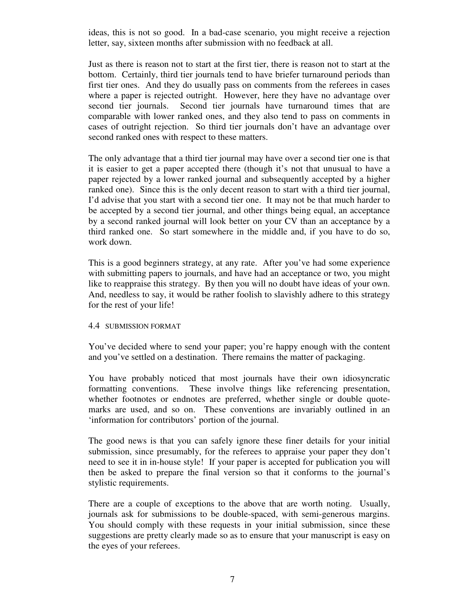ideas, this is not so good. In a bad-case scenario, you might receive a rejection letter, say, sixteen months after submission with no feedback at all.

Just as there is reason not to start at the first tier, there is reason not to start at the bottom. Certainly, third tier journals tend to have briefer turnaround periods than first tier ones. And they do usually pass on comments from the referees in cases where a paper is rejected outright. However, here they have no advantage over second tier journals. Second tier journals have turnaround times that are comparable with lower ranked ones, and they also tend to pass on comments in cases of outright rejection. So third tier journals don't have an advantage over second ranked ones with respect to these matters.

The only advantage that a third tier journal may have over a second tier one is that it is easier to get a paper accepted there (though it's not that unusual to have a paper rejected by a lower ranked journal and subsequently accepted by a higher ranked one). Since this is the only decent reason to start with a third tier journal, I'd advise that you start with a second tier one. It may not be that much harder to be accepted by a second tier journal, and other things being equal, an acceptance by a second ranked journal will look better on your CV than an acceptance by a third ranked one. So start somewhere in the middle and, if you have to do so, work down.

This is a good beginners strategy, at any rate. After you've had some experience with submitting papers to journals, and have had an acceptance or two, you might like to reappraise this strategy. By then you will no doubt have ideas of your own. And, needless to say, it would be rather foolish to slavishly adhere to this strategy for the rest of your life!

#### 4.4 SUBMISSION FORMAT

You've decided where to send your paper; you're happy enough with the content and you've settled on a destination. There remains the matter of packaging.

You have probably noticed that most journals have their own idiosyncratic formatting conventions. These involve things like referencing presentation, whether footnotes or endnotes are preferred, whether single or double quotemarks are used, and so on. These conventions are invariably outlined in an 'information for contributors' portion of the journal.

The good news is that you can safely ignore these finer details for your initial submission, since presumably, for the referees to appraise your paper they don't need to see it in in-house style! If your paper is accepted for publication you will then be asked to prepare the final version so that it conforms to the journal's stylistic requirements.

There are a couple of exceptions to the above that are worth noting. Usually, journals ask for submissions to be double-spaced, with semi-generous margins. You should comply with these requests in your initial submission, since these suggestions are pretty clearly made so as to ensure that your manuscript is easy on the eyes of your referees.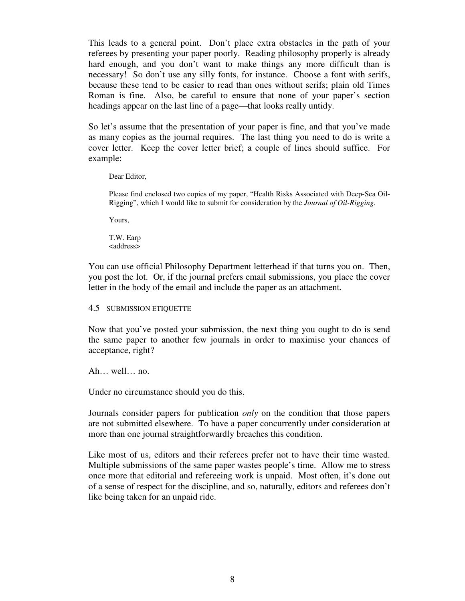This leads to a general point. Don't place extra obstacles in the path of your referees by presenting your paper poorly. Reading philosophy properly is already hard enough, and you don't want to make things any more difficult than is necessary! So don't use any silly fonts, for instance. Choose a font with serifs, because these tend to be easier to read than ones without serifs; plain old Times Roman is fine. Also, be careful to ensure that none of your paper's section headings appear on the last line of a page—that looks really untidy.

So let's assume that the presentation of your paper is fine, and that you've made as many copies as the journal requires. The last thing you need to do is write a cover letter. Keep the cover letter brief; a couple of lines should suffice. For example:

Dear Editor,

Please find enclosed two copies of my paper, "Health Risks Associated with Deep-Sea Oil-Rigging", which I would like to submit for consideration by the *Journal of Oil-Rigging*.

Yours,

T.W. Earp <address>

You can use official Philosophy Department letterhead if that turns you on. Then, you post the lot. Or, if the journal prefers email submissions, you place the cover letter in the body of the email and include the paper as an attachment.

#### 4.5 SUBMISSION ETIQUETTE

Now that you've posted your submission, the next thing you ought to do is send the same paper to another few journals in order to maximise your chances of acceptance, right?

Ah… well… no.

Under no circumstance should you do this.

Journals consider papers for publication *only* on the condition that those papers are not submitted elsewhere. To have a paper concurrently under consideration at more than one journal straightforwardly breaches this condition.

Like most of us, editors and their referees prefer not to have their time wasted. Multiple submissions of the same paper wastes people's time. Allow me to stress once more that editorial and refereeing work is unpaid. Most often, it's done out of a sense of respect for the discipline, and so, naturally, editors and referees don't like being taken for an unpaid ride.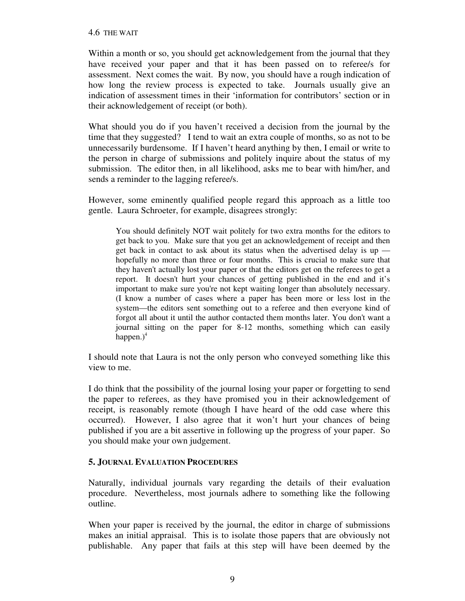Within a month or so, you should get acknowledgement from the journal that they have received your paper and that it has been passed on to referee/s for assessment. Next comes the wait. By now, you should have a rough indication of how long the review process is expected to take. Journals usually give an indication of assessment times in their 'information for contributors' section or in their acknowledgement of receipt (or both).

What should you do if you haven't received a decision from the journal by the time that they suggested? I tend to wait an extra couple of months, so as not to be unnecessarily burdensome. If I haven't heard anything by then, I email or write to the person in charge of submissions and politely inquire about the status of my submission. The editor then, in all likelihood, asks me to bear with him/her, and sends a reminder to the lagging referee/s.

However, some eminently qualified people regard this approach as a little too gentle. Laura Schroeter, for example, disagrees strongly:

You should definitely NOT wait politely for two extra months for the editors to get back to you. Make sure that you get an acknowledgement of receipt and then get back in contact to ask about its status when the advertised delay is up hopefully no more than three or four months. This is crucial to make sure that they haven't actually lost your paper or that the editors get on the referees to get a report. It doesn't hurt your chances of getting published in the end and it's important to make sure you're not kept waiting longer than absolutely necessary. (I know a number of cases where a paper has been more or less lost in the system—the editors sent something out to a referee and then everyone kind of forgot all about it until the author contacted them months later. You don't want a journal sitting on the paper for 8-12 months, something which can easily happen. $)^4$ 

I should note that Laura is not the only person who conveyed something like this view to me.

I do think that the possibility of the journal losing your paper or forgetting to send the paper to referees, as they have promised you in their acknowledgement of receipt, is reasonably remote (though I have heard of the odd case where this occurred). However, I also agree that it won't hurt your chances of being published if you are a bit assertive in following up the progress of your paper. So you should make your own judgement.

# **5. JOURNAL EVALUATION PROCEDURES**

Naturally, individual journals vary regarding the details of their evaluation procedure. Nevertheless, most journals adhere to something like the following outline.

When your paper is received by the journal, the editor in charge of submissions makes an initial appraisal. This is to isolate those papers that are obviously not publishable. Any paper that fails at this step will have been deemed by the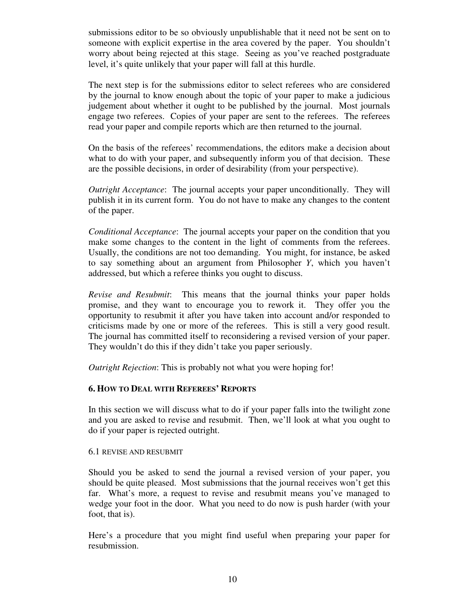submissions editor to be so obviously unpublishable that it need not be sent on to someone with explicit expertise in the area covered by the paper. You shouldn't worry about being rejected at this stage. Seeing as you've reached postgraduate level, it's quite unlikely that your paper will fall at this hurdle.

The next step is for the submissions editor to select referees who are considered by the journal to know enough about the topic of your paper to make a judicious judgement about whether it ought to be published by the journal. Most journals engage two referees. Copies of your paper are sent to the referees. The referees read your paper and compile reports which are then returned to the journal.

On the basis of the referees' recommendations, the editors make a decision about what to do with your paper, and subsequently inform you of that decision. These are the possible decisions, in order of desirability (from your perspective).

*Outright Acceptance*: The journal accepts your paper unconditionally. They will publish it in its current form. You do not have to make any changes to the content of the paper.

*Conditional Acceptance*: The journal accepts your paper on the condition that you make some changes to the content in the light of comments from the referees. Usually, the conditions are not too demanding. You might, for instance, be asked to say something about an argument from Philosopher *Y*, which you haven't addressed, but which a referee thinks you ought to discuss.

*Revise and Resubmit*: This means that the journal thinks your paper holds promise, and they want to encourage you to rework it. They offer you the opportunity to resubmit it after you have taken into account and/or responded to criticisms made by one or more of the referees. This is still a very good result. The journal has committed itself to reconsidering a revised version of your paper. They wouldn't do this if they didn't take you paper seriously.

*Outright Rejection*: This is probably not what you were hoping for!

## **6. HOW TO DEAL WITH REFEREES' REPORTS**

In this section we will discuss what to do if your paper falls into the twilight zone and you are asked to revise and resubmit. Then, we'll look at what you ought to do if your paper is rejected outright.

#### 6.1 REVISE AND RESUBMIT

Should you be asked to send the journal a revised version of your paper, you should be quite pleased. Most submissions that the journal receives won't get this far. What's more, a request to revise and resubmit means you've managed to wedge your foot in the door. What you need to do now is push harder (with your foot, that is).

Here's a procedure that you might find useful when preparing your paper for resubmission.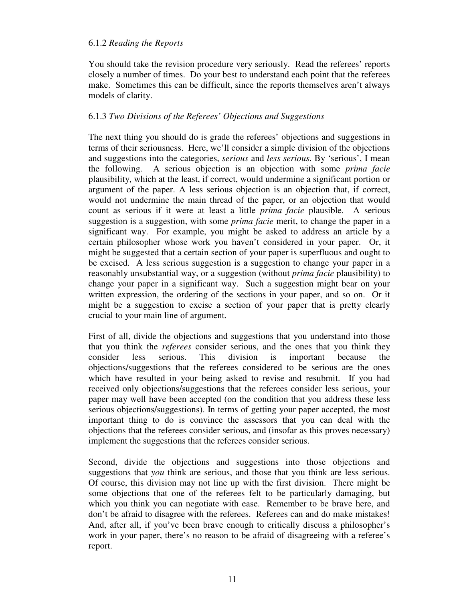## 6.1.2 *Reading the Reports*

You should take the revision procedure very seriously. Read the referees' reports closely a number of times. Do your best to understand each point that the referees make. Sometimes this can be difficult, since the reports themselves aren't always models of clarity.

#### 6.1.3 *Two Divisions of the Referees' Objections and Suggestions*

The next thing you should do is grade the referees' objections and suggestions in terms of their seriousness. Here, we'll consider a simple division of the objections and suggestions into the categories, *serious* and *less serious*. By 'serious', I mean the following. A serious objection is an objection with some *prima facie* plausibility, which at the least, if correct, would undermine a significant portion or argument of the paper. A less serious objection is an objection that, if correct, would not undermine the main thread of the paper, or an objection that would count as serious if it were at least a little *prima facie* plausible. A serious suggestion is a suggestion, with some *prima facie* merit, to change the paper in a significant way. For example, you might be asked to address an article by a certain philosopher whose work you haven't considered in your paper. Or, it might be suggested that a certain section of your paper is superfluous and ought to be excised. A less serious suggestion is a suggestion to change your paper in a reasonably unsubstantial way, or a suggestion (without *prima facie* plausibility) to change your paper in a significant way. Such a suggestion might bear on your written expression, the ordering of the sections in your paper, and so on. Or it might be a suggestion to excise a section of your paper that is pretty clearly crucial to your main line of argument.

First of all, divide the objections and suggestions that you understand into those that you think the *referees* consider serious, and the ones that you think they consider less serious. This division is important because the objections/suggestions that the referees considered to be serious are the ones which have resulted in your being asked to revise and resubmit. If you had received only objections/suggestions that the referees consider less serious, your paper may well have been accepted (on the condition that you address these less serious objections/suggestions). In terms of getting your paper accepted, the most important thing to do is convince the assessors that you can deal with the objections that the referees consider serious, and (insofar as this proves necessary) implement the suggestions that the referees consider serious.

Second, divide the objections and suggestions into those objections and suggestions that *you* think are serious, and those that you think are less serious. Of course, this division may not line up with the first division. There might be some objections that one of the referees felt to be particularly damaging, but which you think you can negotiate with ease. Remember to be brave here, and don't be afraid to disagree with the referees. Referees can and do make mistakes! And, after all, if you've been brave enough to critically discuss a philosopher's work in your paper, there's no reason to be afraid of disagreeing with a referee's report.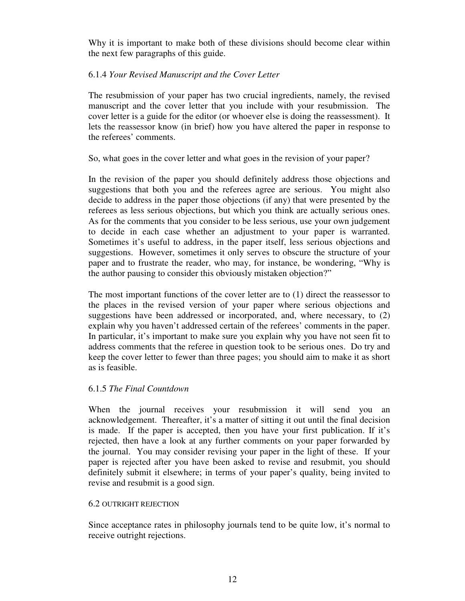Why it is important to make both of these divisions should become clear within the next few paragraphs of this guide.

## 6.1.4 *Your Revised Manuscript and the Cover Letter*

The resubmission of your paper has two crucial ingredients, namely, the revised manuscript and the cover letter that you include with your resubmission. The cover letter is a guide for the editor (or whoever else is doing the reassessment). It lets the reassessor know (in brief) how you have altered the paper in response to the referees' comments.

So, what goes in the cover letter and what goes in the revision of your paper?

In the revision of the paper you should definitely address those objections and suggestions that both you and the referees agree are serious. You might also decide to address in the paper those objections (if any) that were presented by the referees as less serious objections, but which you think are actually serious ones. As for the comments that you consider to be less serious, use your own judgement to decide in each case whether an adjustment to your paper is warranted. Sometimes it's useful to address, in the paper itself, less serious objections and suggestions. However, sometimes it only serves to obscure the structure of your paper and to frustrate the reader, who may, for instance, be wondering, "Why is the author pausing to consider this obviously mistaken objection?"

The most important functions of the cover letter are to (1) direct the reassessor to the places in the revised version of your paper where serious objections and suggestions have been addressed or incorporated, and, where necessary, to (2) explain why you haven't addressed certain of the referees' comments in the paper. In particular, it's important to make sure you explain why you have not seen fit to address comments that the referee in question took to be serious ones. Do try and keep the cover letter to fewer than three pages; you should aim to make it as short as is feasible.

## 6.1.5 *The Final Countdown*

When the journal receives your resubmission it will send you an acknowledgement. Thereafter, it's a matter of sitting it out until the final decision is made. If the paper is accepted, then you have your first publication. If it's rejected, then have a look at any further comments on your paper forwarded by the journal. You may consider revising your paper in the light of these. If your paper is rejected after you have been asked to revise and resubmit, you should definitely submit it elsewhere; in terms of your paper's quality, being invited to revise and resubmit is a good sign.

## 6.2 OUTRIGHT REJECTION

Since acceptance rates in philosophy journals tend to be quite low, it's normal to receive outright rejections.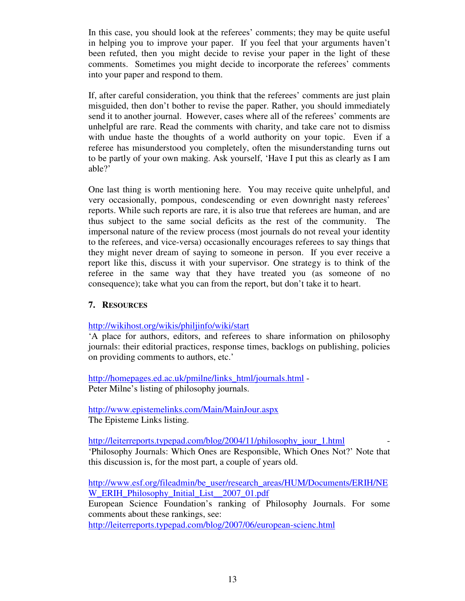In this case, you should look at the referees' comments; they may be quite useful in helping you to improve your paper. If you feel that your arguments haven't been refuted, then you might decide to revise your paper in the light of these comments. Sometimes you might decide to incorporate the referees' comments into your paper and respond to them.

If, after careful consideration, you think that the referees' comments are just plain misguided, then don't bother to revise the paper. Rather, you should immediately send it to another journal. However, cases where all of the referees' comments are unhelpful are rare. Read the comments with charity, and take care not to dismiss with undue haste the thoughts of a world authority on your topic. Even if a referee has misunderstood you completely, often the misunderstanding turns out to be partly of your own making. Ask yourself, 'Have I put this as clearly as I am able?'

One last thing is worth mentioning here. You may receive quite unhelpful, and very occasionally, pompous, condescending or even downright nasty referees' reports. While such reports are rare, it is also true that referees are human, and are thus subject to the same social deficits as the rest of the community. The impersonal nature of the review process (most journals do not reveal your identity to the referees, and vice-versa) occasionally encourages referees to say things that they might never dream of saying to someone in person. If you ever receive a report like this, discuss it with your supervisor. One strategy is to think of the referee in the same way that they have treated you (as someone of no consequence); take what you can from the report, but don't take it to heart.

# **7. RESOURCES**

http://wikihost.org/wikis/philjinfo/wiki/start

'A place for authors, editors, and referees to share information on philosophy journals: their editorial practices, response times, backlogs on publishing, policies on providing comments to authors, etc.'

http://homepages.ed.ac.uk/pmilne/links\_html/journals.html - Peter Milne's listing of philosophy journals.

http://www.epistemelinks.com/Main/MainJour.aspx The Episteme Links listing.

http://leiterreports.typepad.com/blog/2004/11/philosophy\_jour\_1.html 'Philosophy Journals: Which Ones are Responsible, Which Ones Not?' Note that this discussion is, for the most part, a couple of years old.

http://www.esf.org/fileadmin/be\_user/research\_areas/HUM/Documents/ERIH/NE W\_ERIH\_Philosophy\_Initial\_List\_2007\_01.pdf

European Science Foundation's ranking of Philosophy Journals. For some comments about these rankings, see:

http://leiterreports.typepad.com/blog/2007/06/european-scienc.html